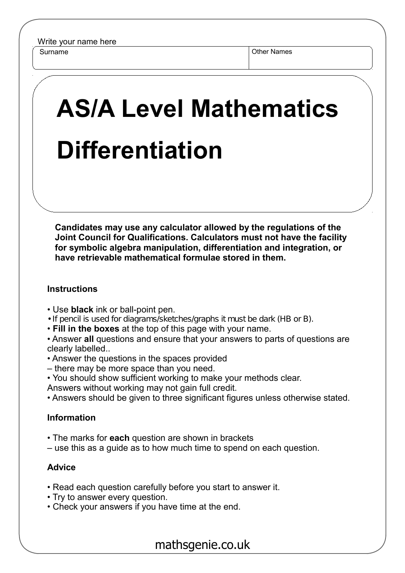Surname **Other Names** Other Names

## **AS/A Level Mathematics Differentiation**

**Candidates may use any calculator allowed by the regulations of the Joint Council for Qualifications. Calculators must not have the facility for symbolic algebra manipulation, differentiation and integration, or have retrievable mathematical formulae stored in them.**

## **Instructions**

- Use **black** ink or ball-point pen.
- If pencil is used for diagrams/sketches/graphs it must be dark (HB or B).
- **Fill in the boxes** at the top of this page with your name.

• Answer **all** questions and ensure that your answers to parts of questions are clearly labelled..

- Answer the questions in the spaces provided
- there may be more space than you need.
- You should show sufficient working to make your methods clear.
- Answers without working may not gain full credit.
- Answers should be given to three significant figures unless otherwise stated.

## **Information**

- The marks for **each** question are shown in brackets
- use this as a guide as to how much time to spend on each question.

## **Advice**

- Read each question carefully before you start to answer it.
- Try to answer every question.
- Check your answers if you have time at the end.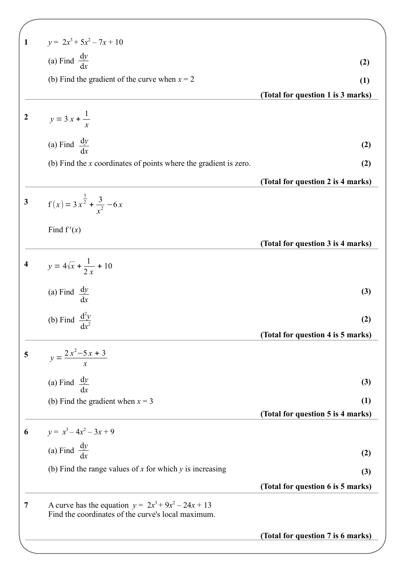| $\mathbf{1}$     | $y = 2x^3 + 5x^2 - 7x + 10$                                                                                 |                                   |
|------------------|-------------------------------------------------------------------------------------------------------------|-----------------------------------|
|                  | (a) Find $\frac{dy}{dx}$                                                                                    | (2)                               |
|                  | (b) Find the gradient of the curve when $x = 2$                                                             | (1)                               |
|                  |                                                                                                             | (Total for question 1 is 3 marks) |
| $\boldsymbol{2}$ | $y = 3x + \frac{1}{x}$                                                                                      |                                   |
|                  | (a) Find $\frac{dy}{dx}$                                                                                    | (2)                               |
|                  | (b) Find the $x$ coordinates of points where the gradient is zero.                                          | (2)                               |
|                  |                                                                                                             | (Total for question 2 is 4 marks) |
| 3                | $f(x) = 3x^{\frac{3}{2}} + \frac{3}{x^2} -6x$                                                               |                                   |
|                  | Find $f'(x)$                                                                                                |                                   |
|                  |                                                                                                             | (Total for question 3 is 4 marks) |
| 4                | $y = 4\sqrt{x} + \frac{1}{2x} + 10$                                                                         |                                   |
|                  | (a) Find $\frac{dy}{dx}$                                                                                    | (3)                               |
|                  | (b) Find $\frac{d^2y}{dx^2}$                                                                                | (2)                               |
|                  |                                                                                                             | (Total for question 4 is 5 marks) |
| 5                | $y = \frac{2x^2 - 5x + 3}{x}$                                                                               |                                   |
|                  | (a) Find $\frac{dy}{dx}$                                                                                    | (3)                               |
|                  | (b) Find the gradient when $x = 3$                                                                          | (1)                               |
|                  |                                                                                                             | (Total for question 5 is 4 marks) |
| 6                | $y = x^3 - 4x^2 - 3x + 9$                                                                                   |                                   |
|                  | (a) Find $\frac{dy}{dx}$                                                                                    | (2)                               |
|                  | (b) Find the range values of x for which $y$ is increasing                                                  | (3)                               |
|                  |                                                                                                             | (Total for question 6 is 5 marks) |
| 7                | A curve has the equation $y = 2x^3 + 9x^2 - 24x + 13$<br>Find the coordinates of the curve's local maximum. |                                   |
|                  |                                                                                                             | (Total for question 7 is 6 marks) |
|                  |                                                                                                             |                                   |